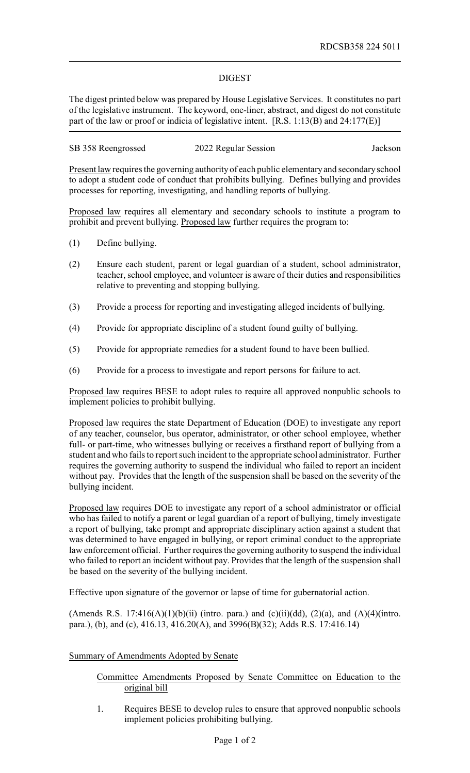### DIGEST

The digest printed below was prepared by House Legislative Services. It constitutes no part of the legislative instrument. The keyword, one-liner, abstract, and digest do not constitute part of the law or proof or indicia of legislative intent. [R.S. 1:13(B) and 24:177(E)]

| SB 358 Reengrossed | 2022 Regular Session | Jackson |
|--------------------|----------------------|---------|
|--------------------|----------------------|---------|

Present law requires the governing authorityof each public elementaryand secondaryschool to adopt a student code of conduct that prohibits bullying. Defines bullying and provides processes for reporting, investigating, and handling reports of bullying.

Proposed law requires all elementary and secondary schools to institute a program to prohibit and prevent bullying. Proposed law further requires the program to:

- (1) Define bullying.
- (2) Ensure each student, parent or legal guardian of a student, school administrator, teacher, school employee, and volunteer is aware of their duties and responsibilities relative to preventing and stopping bullying.
- (3) Provide a process for reporting and investigating alleged incidents of bullying.
- (4) Provide for appropriate discipline of a student found guilty of bullying.
- (5) Provide for appropriate remedies for a student found to have been bullied.
- (6) Provide for a process to investigate and report persons for failure to act.

Proposed law requires BESE to adopt rules to require all approved nonpublic schools to implement policies to prohibit bullying.

Proposed law requires the state Department of Education (DOE) to investigate any report of any teacher, counselor, bus operator, administrator, or other school employee, whether full- or part-time, who witnesses bullying or receives a firsthand report of bullying from a student and who fails to report such incident to the appropriate school administrator. Further requires the governing authority to suspend the individual who failed to report an incident without pay. Provides that the length of the suspension shall be based on the severity of the bullying incident.

Proposed law requires DOE to investigate any report of a school administrator or official who has failed to notify a parent or legal guardian of a report of bullying, timely investigate a report of bullying, take prompt and appropriate disciplinary action against a student that was determined to have engaged in bullying, or report criminal conduct to the appropriate law enforcement official. Further requires the governing authority to suspend the individual who failed to report an incident without pay. Provides that the length of the suspension shall be based on the severity of the bullying incident.

Effective upon signature of the governor or lapse of time for gubernatorial action.

(Amends R.S. 17:416(A)(1)(b)(ii) (intro. para.) and (c)(ii)(dd), (2)(a), and (A)(4)(intro. para.), (b), and (c), 416.13, 416.20(A), and 3996(B)(32); Adds R.S. 17:416.14)

## Summary of Amendments Adopted by Senate

### Committee Amendments Proposed by Senate Committee on Education to the original bill

1. Requires BESE to develop rules to ensure that approved nonpublic schools implement policies prohibiting bullying.